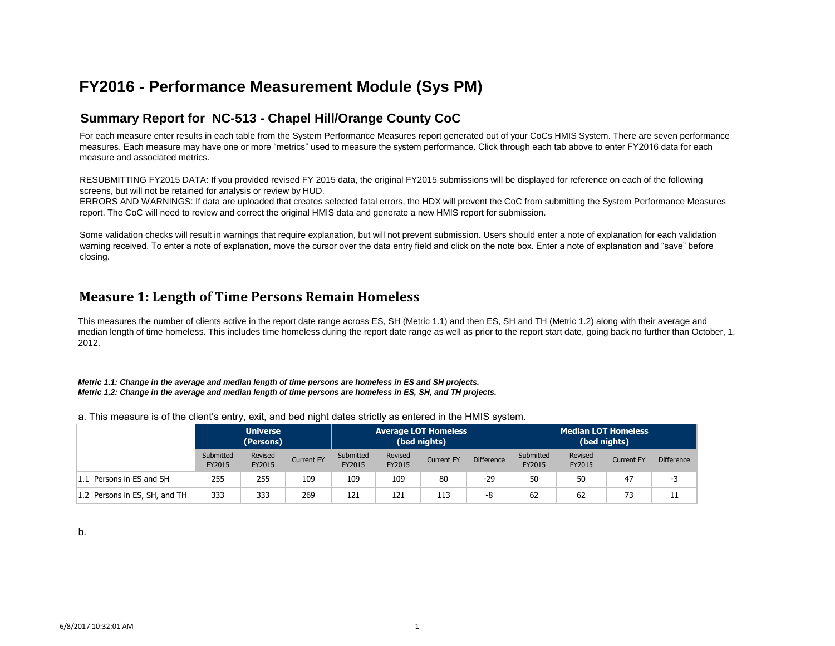# **FY2016 - Performance Measurement Module (Sys PM)**

### **Summary Report for NC-513 - Chapel Hill/Orange County CoC**

For each measure enter results in each table from the System Performance Measures report generated out of your CoCs HMIS System. There are seven performance measures. Each measure may have one or more "metrics" used to measure the system performance. Click through each tab above to enter FY2016 data for each measure and associated metrics.

RESUBMITTING FY2015 DATA: If you provided revised FY 2015 data, the original FY2015 submissions will be displayed for reference on each of the following screens, but will not be retained for analysis or review by HUD.

ERRORS AND WARNINGS: If data are uploaded that creates selected fatal errors, the HDX will prevent the CoC from submitting the System Performance Measures report. The CoC will need to review and correct the original HMIS data and generate a new HMIS report for submission.

Some validation checks will result in warnings that require explanation, but will not prevent submission. Users should enter a note of explanation for each validation warning received. To enter a note of explanation, move the cursor over the data entry field and click on the note box. Enter a note of explanation and "save" before closing.

### **Measure 1: Length of Time Persons Remain Homeless**

This measures the number of clients active in the report date range across ES, SH (Metric 1.1) and then ES, SH and TH (Metric 1.2) along with their average and median length of time homeless. This includes time homeless during the report date range as well as prior to the report start date, going back no further than October, 1, 2012.

*Metric 1.1: Change in the average and median length of time persons are homeless in ES and SH projects. Metric 1.2: Change in the average and median length of time persons are homeless in ES, SH, and TH projects.*

a. This measure is of the client's entry, exit, and bed night dates strictly as entered in the HMIS system.

|                               | <b>Universe</b><br>(Persons) |                   |                   |                     | <b>Average LOT Homeless</b><br>(bed nights) |                   |                   | <b>Median LOT Homeless</b><br>(bed nights) |                   |                   |                   |
|-------------------------------|------------------------------|-------------------|-------------------|---------------------|---------------------------------------------|-------------------|-------------------|--------------------------------------------|-------------------|-------------------|-------------------|
|                               | Submitted<br>FY2015          | Revised<br>FY2015 | <b>Current FY</b> | Submitted<br>FY2015 | Revised<br>FY2015                           | <b>Current FY</b> | <b>Difference</b> | Submitted<br>FY2015                        | Revised<br>FY2015 | <b>Current FY</b> | <b>Difference</b> |
| 1.1 Persons in ES and SH      | 255                          | 255               | 109               | 109                 | 109                                         | 80                | $-29$             | 50                                         | 50                | 47                | -3                |
| 1.2 Persons in ES, SH, and TH | 333                          | 333               | 269               | 121                 | 121                                         | 113               | -8                | 62                                         | 62                | 73                | 11                |

b.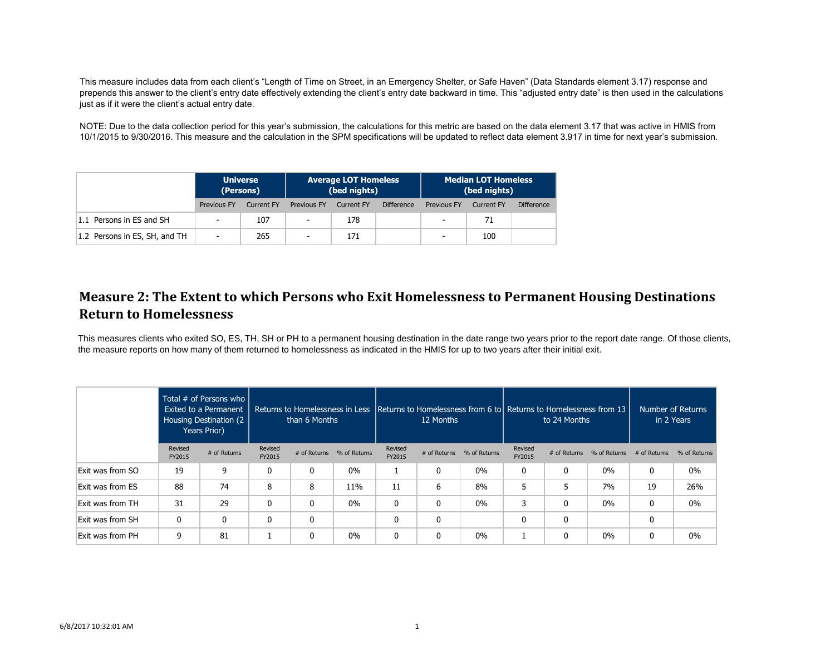This measure includes data from each client's "Length of Time on Street, in an Emergency Shelter, or Safe Haven" (Data Standards element 3.17) response and prepends this answer to the client's entry date effectively extending the client's entry date backward in time. This "adjusted entry date" is then used in the calculations just as if it were the client's actual entry date.

NOTE: Due to the data collection period for this year's submission, the calculations for this metric are based on the data element 3.17 that was active in HMIS from 10/1/2015 to 9/30/2016. This measure and the calculation in the SPM specifications will be updated to reflect data element 3.917 in time for next year's submission.

|                               | <b>Universe</b><br>(Persons) |            |                          | <b>Average LOT Homeless</b><br>(bed nights) |                   |                          | <b>Median LOT Homeless</b><br>(bed nights) |                   |  |  |
|-------------------------------|------------------------------|------------|--------------------------|---------------------------------------------|-------------------|--------------------------|--------------------------------------------|-------------------|--|--|
|                               | Previous FY                  | Current FY | Previous FY              | Current FY                                  | <b>Difference</b> | <b>Previous FY</b>       | <b>Current FY</b>                          | <b>Difference</b> |  |  |
| 1.1 Persons in ES and SH      | $\overline{\phantom{a}}$     | 107        | $\overline{\phantom{m}}$ | 178                                         |                   | $\overline{\phantom{a}}$ | 71                                         |                   |  |  |
| 1.2 Persons in ES, SH, and TH | $\overline{\phantom{a}}$     | 265        | $\overline{\phantom{a}}$ | 171                                         |                   | $\overline{\phantom{0}}$ | 100                                        |                   |  |  |

## **Measure 2: The Extent to which Persons who Exit Homelessness to Permanent Housing Destinations Return to Homelessness**

This measures clients who exited SO, ES, TH, SH or PH to a permanent housing destination in the date range two years prior to the report date range. Of those clients, the measure reports on how many of them returned to homelessness as indicated in the HMIS for up to two years after their initial exit.

|                  |                   | Total $#$ of Persons who<br>Exited to a Permanent<br>Housing Destination (2)<br>Years Prior) |                   | Returns to Homelessness in Less<br>than 6 Months |              |                   | 12 Months    |              | <b>Returns to Homelessness from 6 to Returns to Homelessness from 13</b><br>to 24 Months |              | Number of Returns<br>in 2 Years |                |              |
|------------------|-------------------|----------------------------------------------------------------------------------------------|-------------------|--------------------------------------------------|--------------|-------------------|--------------|--------------|------------------------------------------------------------------------------------------|--------------|---------------------------------|----------------|--------------|
|                  | Revised<br>FY2015 | # of Returns                                                                                 | Revised<br>FY2015 | # of Returns                                     | % of Returns | Revised<br>FY2015 | # of Returns | % of Returns | Revised<br>FY2015                                                                        | # of Returns | % of Returns                    | $#$ of Returns | % of Returns |
| Exit was from SO | 19                | 9                                                                                            | 0                 | 0                                                | $0\%$        |                   | 0            | 0%           | 0                                                                                        |              | $0\%$                           | 0              | $0\%$        |
| Exit was from ES | 88                | 74                                                                                           | 8                 | 8                                                | 11%          | 11                | 6            | 8%           | 5                                                                                        |              | 7%                              | 19             | 26%          |
| Exit was from TH | 31                | 29                                                                                           | 0                 | 0                                                | $0\%$        | $\mathbf{0}$      | 0            | $0\%$        | 3                                                                                        | 0            | $0\%$                           | 0              | $0\%$        |
| Exit was from SH | 0                 | $\mathbf{0}$                                                                                 | 0                 | 0                                                |              | 0                 | 0            |              | 0                                                                                        | $\Omega$     |                                 | 0              |              |
| Exit was from PH | 9                 | 81                                                                                           |                   | 0                                                | $0\%$        | $\Omega$          | 0            | 0%           |                                                                                          |              | $0\%$                           | 0              | 0%           |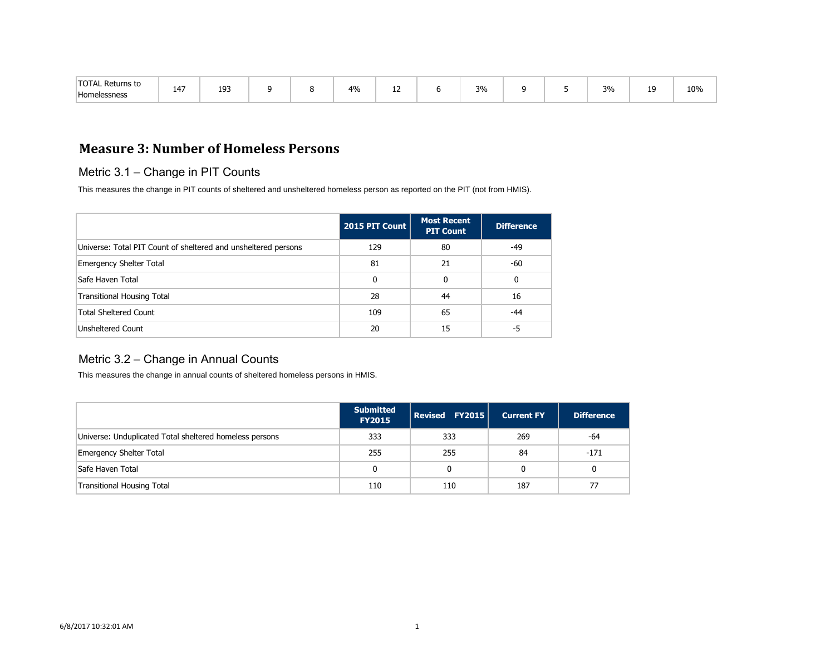| <b>TOTAL</b><br>' Returns to<br>Home<br>leccnecc<br>51 IC 53 | $14-$<br>T T | 193<br>$ -$ |  |  | 4% | -- |  | 3% |  |  | 3% | 10<br>-- | 10% |
|--------------------------------------------------------------|--------------|-------------|--|--|----|----|--|----|--|--|----|----------|-----|
|--------------------------------------------------------------|--------------|-------------|--|--|----|----|--|----|--|--|----|----------|-----|

## **Measure 3: Number of Homeless Persons**

#### Metric 3.1 – Change in PIT Counts

This measures the change in PIT counts of sheltered and unsheltered homeless person as reported on the PIT (not from HMIS).

|                                                                | 2015 PIT Count | <b>Most Recent</b><br><b>PIT Count</b> | <b>Difference</b> |
|----------------------------------------------------------------|----------------|----------------------------------------|-------------------|
| Universe: Total PIT Count of sheltered and unsheltered persons | 129            | 80                                     | $-49$             |
| <b>Emergency Shelter Total</b>                                 | 81             | 21                                     | -60               |
| Safe Haven Total                                               | 0              | 0                                      | 0                 |
| <b>Transitional Housing Total</b>                              | 28             | 44                                     | 16                |
| <b>Total Sheltered Count</b>                                   | 109            | 65                                     | -44               |
| <b>Unsheltered Count</b>                                       | 20             | 15                                     | -5                |

#### Metric 3.2 – Change in Annual Counts

This measures the change in annual counts of sheltered homeless persons in HMIS.

|                                                         | <b>Submitted</b><br><b>FY2015</b> | Revised FY2015 | <b>Current FY</b> | <b>Difference</b> |
|---------------------------------------------------------|-----------------------------------|----------------|-------------------|-------------------|
| Universe: Unduplicated Total sheltered homeless persons | 333                               | 333            | 269               | -64               |
| Emergency Shelter Total                                 | 255                               | 255            | 84                | $-171$            |
| Safe Haven Total                                        | 0                                 |                | 0                 | 0                 |
| Transitional Housing Total                              | 110                               | 110            | 187               | 77                |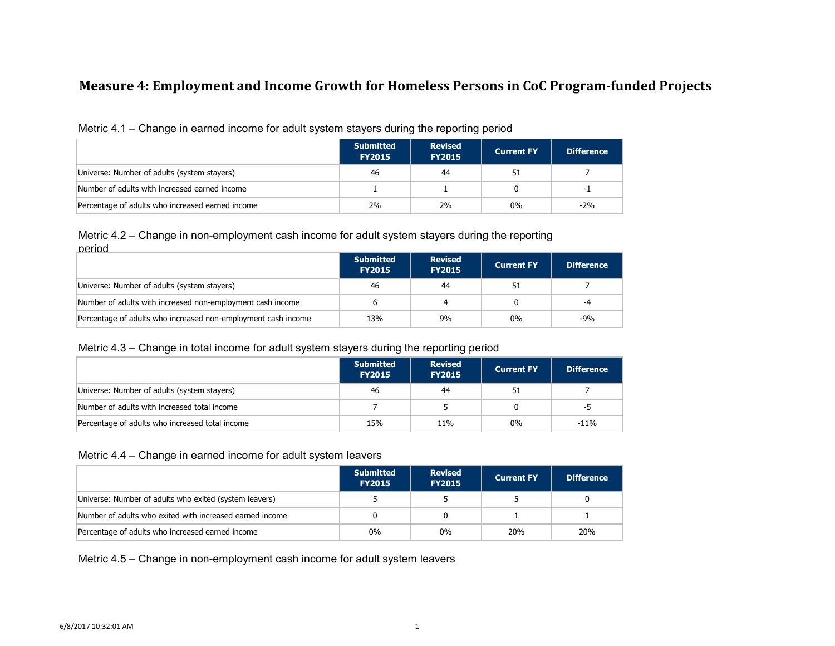### **Measure 4: Employment and Income Growth for Homeless Persons in CoC Program-funded Projects**

|--|

|                                                  | <b>Submitted</b><br><b>FY2015</b> | <b>Revised</b><br><b>FY2015</b> | <b>Current FY</b> | <b>Difference</b> |
|--------------------------------------------------|-----------------------------------|---------------------------------|-------------------|-------------------|
| Universe: Number of adults (system stayers)      | 46                                | 44                              |                   |                   |
| Number of adults with increased earned income    |                                   |                                 |                   | - 1               |
| Percentage of adults who increased earned income | 2%                                | 2%                              | 0%                | $-2%$             |

#### Metric 4.2 – Change in non-employment cash income for adult system stayers during the reporting period

|                                                               | <b>Submitted</b><br><b>FY2015</b> | <b>Revised</b><br><b>FY2015</b> | <b>Current FY</b> | <b>Difference</b> |
|---------------------------------------------------------------|-----------------------------------|---------------------------------|-------------------|-------------------|
| Universe: Number of adults (system stayers)                   | 46                                | 44                              | 51                |                   |
| Number of adults with increased non-employment cash income    |                                   |                                 |                   | $-4$              |
| Percentage of adults who increased non-employment cash income | 13%                               | 9%                              | $0\%$             | $-9%$             |

### Metric 4.3 – Change in total income for adult system stayers during the reporting period

|                                                 | <b>Submitted</b><br><b>FY2015</b> | <b>Revised</b><br><b>FY2015</b> | <b>Current FY</b> | <b>Difference</b> |
|-------------------------------------------------|-----------------------------------|---------------------------------|-------------------|-------------------|
| Universe: Number of adults (system stayers)     | 46                                | 44                              | 51                |                   |
| Number of adults with increased total income    |                                   |                                 | 0                 | -5                |
| Percentage of adults who increased total income | 15%                               | 11%                             | $0\%$             | $-11%$            |

#### Metric 4.4 – Change in earned income for adult system leavers

|                                                          | <b>Submitted</b><br><b>FY2015</b> | <b>Revised</b><br><b>FY2015</b> | <b>Current FY</b> | <b>Difference</b> |
|----------------------------------------------------------|-----------------------------------|---------------------------------|-------------------|-------------------|
| Universe: Number of adults who exited (system leavers)   |                                   |                                 |                   |                   |
| Number of adults who exited with increased earned income |                                   |                                 |                   |                   |
| Percentage of adults who increased earned income         | $0\%$                             | 0%                              | <b>20%</b>        | 20%               |

Metric 4.5 – Change in non-employment cash income for adult system leavers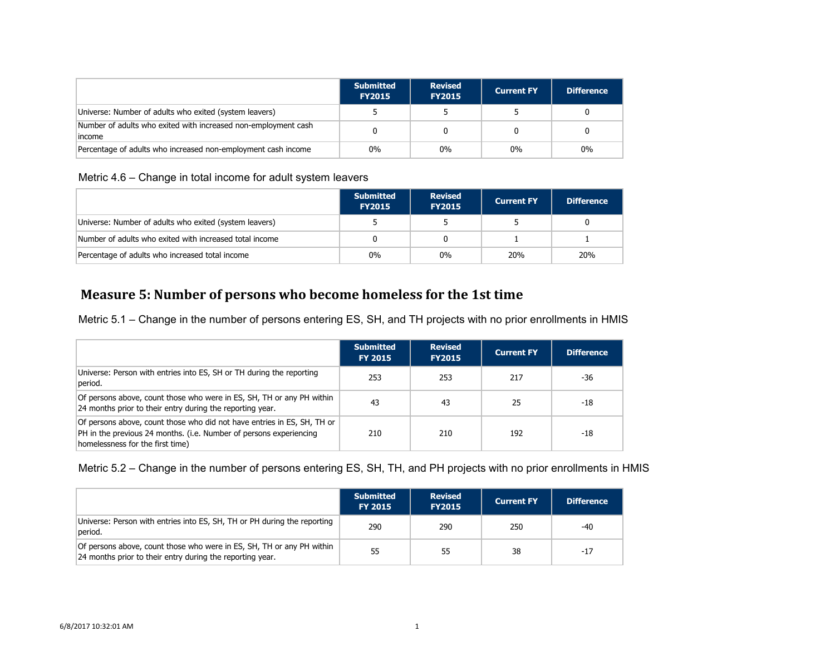|                                                                           | <b>Submitted</b><br><b>FY2015</b> | <b>Revised</b><br><b>FY2015</b> | <b>Current FY</b> | <b>Difference</b> |
|---------------------------------------------------------------------------|-----------------------------------|---------------------------------|-------------------|-------------------|
| Universe: Number of adults who exited (system leavers)                    |                                   |                                 |                   |                   |
| Number of adults who exited with increased non-employment cash<br>lincome |                                   |                                 |                   |                   |
| Percentage of adults who increased non-employment cash income             | $0\%$                             | $0\%$                           | $0\%$             | $0\%$             |

### Metric 4.6 – Change in total income for adult system leavers

|                                                         | <b>Submitted</b><br><b>FY2015</b> | <b>Revised</b><br><b>FY2015</b> | <b>Current FY</b> | <b>Difference</b> |
|---------------------------------------------------------|-----------------------------------|---------------------------------|-------------------|-------------------|
| Universe: Number of adults who exited (system leavers)  |                                   |                                 |                   |                   |
| Number of adults who exited with increased total income |                                   |                                 |                   |                   |
| Percentage of adults who increased total income         | $0\%$                             | $0\%$                           | <b>20%</b>        | 20%               |

# **Measure 5: Number of persons who become homeless for the 1st time**

Metric 5.1 – Change in the number of persons entering ES, SH, and TH projects with no prior enrollments in HMIS

|                                                                                                                                                                                   | <b>Submitted</b><br><b>FY 2015</b> | <b>Revised</b><br><b>FY2015</b> | <b>Current FY</b> | <b>Difference</b> |
|-----------------------------------------------------------------------------------------------------------------------------------------------------------------------------------|------------------------------------|---------------------------------|-------------------|-------------------|
| Universe: Person with entries into ES, SH or TH during the reporting<br>period.                                                                                                   | 253                                | 253                             | 217               | -36               |
| Of persons above, count those who were in ES, SH, TH or any PH within<br>24 months prior to their entry during the reporting year.                                                | 43                                 | 43                              | 25                | -18               |
| Of persons above, count those who did not have entries in ES, SH, TH or<br>PH in the previous 24 months. (i.e. Number of persons experiencing<br>homelessness for the first time) | 210                                | 210                             | 192               | -18               |

#### Metric 5.2 – Change in the number of persons entering ES, SH, TH, and PH projects with no prior enrollments in HMIS

|                                                                                                                                    | <b>Submitted</b><br><b>FY 2015</b> | <b>Revised</b><br><b>FY2015</b> | <b>Current FY</b> | <b>Difference</b> |
|------------------------------------------------------------------------------------------------------------------------------------|------------------------------------|---------------------------------|-------------------|-------------------|
| Universe: Person with entries into ES, SH, TH or PH during the reporting<br>beriod.                                                | 290                                | 290                             | 250               | -40               |
| Of persons above, count those who were in ES, SH, TH or any PH within<br>24 months prior to their entry during the reporting year. | 55                                 | 55                              | 38                | $-17$             |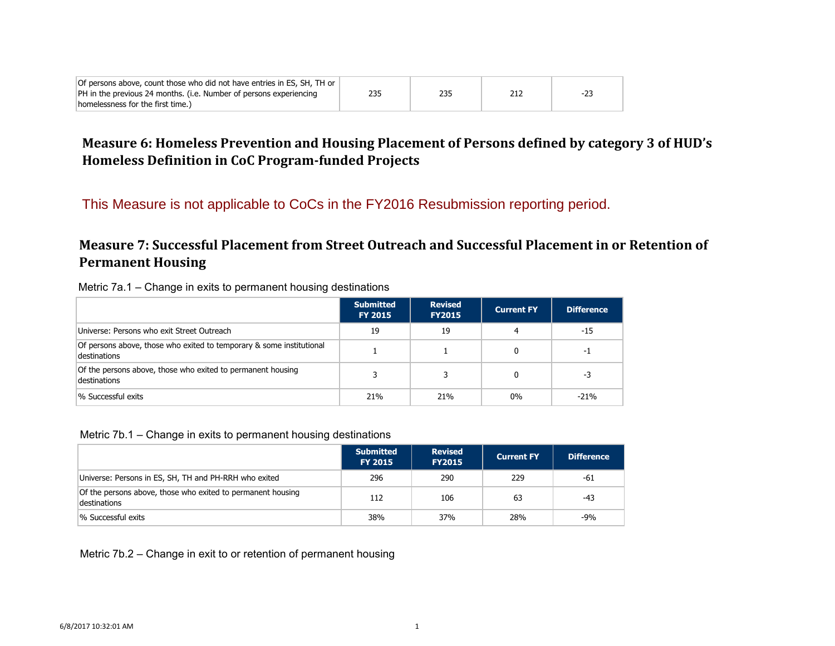| Of persons above, count those who did not have entries in ES, SH, TH or |     |     |     |       |
|-------------------------------------------------------------------------|-----|-----|-----|-------|
| PH in the previous 24 months. (i.e. Number of persons experiencing      | 235 | 235 | 212 | $-23$ |
| homelessness for the first time.)                                       |     |     |     |       |

## **Measure 6: Homeless Prevention and Housing Placement of Persons defined by category 3 of HUD's Homeless Definition in CoC Program-funded Projects**

This Measure is not applicable to CoCs in the FY2016 Resubmission reporting period.

## **Measure 7: Successful Placement from Street Outreach and Successful Placement in or Retention of Permanent Housing**

| Metric 7a.1 – Change in exits to permanent housing destinations |  |  |  |  |
|-----------------------------------------------------------------|--|--|--|--|
|-----------------------------------------------------------------|--|--|--|--|

|                                                                                      | <b>Submitted</b><br><b>FY 2015</b> | <b>Revised</b><br><b>FY2015</b> | <b>Current FY</b> | <b>Difference</b> |
|--------------------------------------------------------------------------------------|------------------------------------|---------------------------------|-------------------|-------------------|
| Universe: Persons who exit Street Outreach                                           | 19                                 | 19                              | 4                 | $-15$             |
| Of persons above, those who exited to temporary & some institutional<br>destinations |                                    |                                 |                   | -1                |
| Of the persons above, those who exited to permanent housing<br>destinations          |                                    |                                 |                   | -3                |
| 1% Successful exits                                                                  | 21%                                | 21%                             | $0\%$             | $-21%$            |

#### Metric 7b.1 – Change in exits to permanent housing destinations

|                                                                             | <b>Submitted</b><br><b>FY 2015</b> | <b>Revised</b><br><b>FY2015</b> | <b>Current FY</b> | <b>Difference</b> |
|-----------------------------------------------------------------------------|------------------------------------|---------------------------------|-------------------|-------------------|
| Universe: Persons in ES, SH, TH and PH-RRH who exited                       | 296                                | 290                             | 229               | -61               |
| Of the persons above, those who exited to permanent housing<br>destinations | 112                                | 106                             | 63                | $-43$             |
| % Successful exits                                                          | 38%                                | 37%                             | 28%               | -9%               |

Metric 7b.2 – Change in exit to or retention of permanent housing